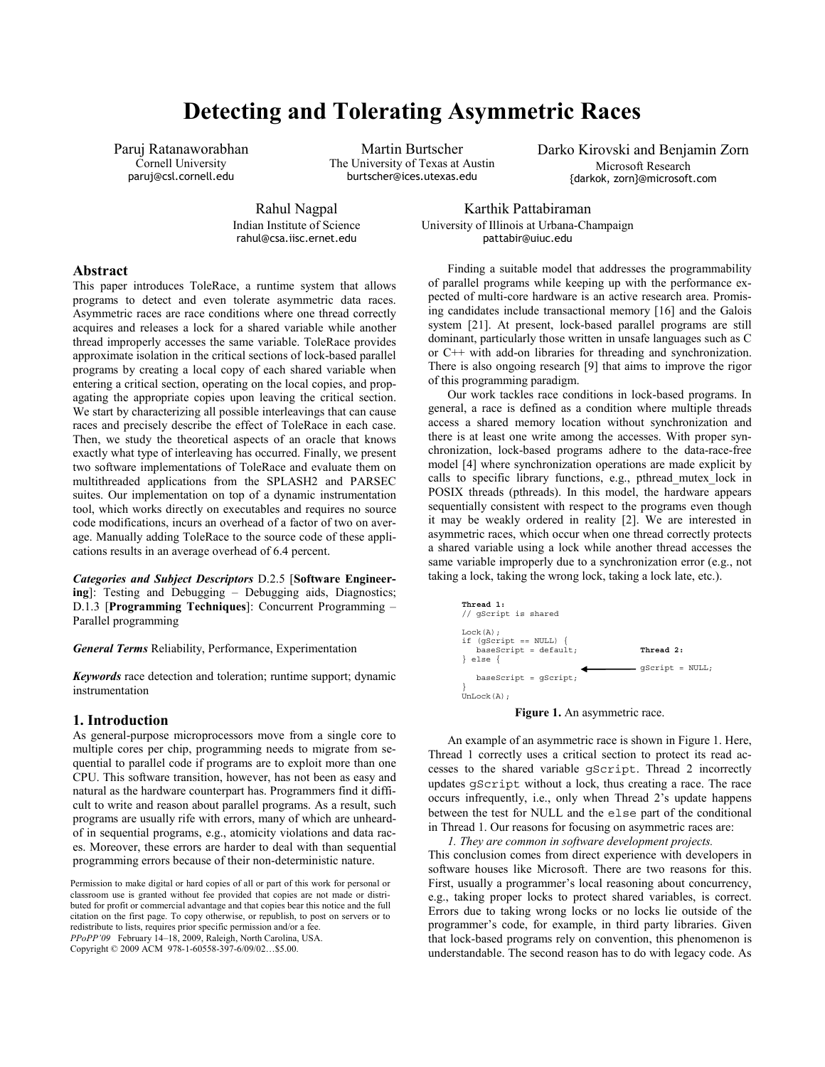# **Detecting and Tolerating Asymmetric Races**

Paruj Ratanaworabhan Cornell University paruj@csl.cornell.edu

Martin Burtscher The University of Texas at Austin burtscher@ices.utexas.edu

Darko Kirovski and Benjamin Zorn Microsoft Research {darkok, zorn}@microsoft.com

Rahul Nagpal Indian Institute of Science rahul@csa.iisc.ernet.edu

Karthik Pattabiraman University of Illinois at Urbana-Champaign pattabir@uiuc.edu

# **Abstract**

This paper introduces ToleRace, a runtime system that allows programs to detect and even tolerate asymmetric data races. Asymmetric races are race conditions where one thread correctly acquires and releases a lock for a shared variable while another thread improperly accesses the same variable. ToleRace provides approximate isolation in the critical sections of lock-based parallel programs by creating a local copy of each shared variable when entering a critical section, operating on the local copies, and propagating the appropriate copies upon leaving the critical section. We start by characterizing all possible interleavings that can cause races and precisely describe the effect of ToleRace in each case. Then, we study the theoretical aspects of an oracle that knows exactly what type of interleaving has occurred. Finally, we present two software implementations of ToleRace and evaluate them on multithreaded applications from the SPLASH2 and PARSEC suites. Our implementation on top of a dynamic instrumentation tool, which works directly on executables and requires no source code modifications, incurs an overhead of a factor of two on average. Manually adding ToleRace to the source code of these applications results in an average overhead of 6.4 percent.

*Categories and Subject Descriptors* D.2.5 [**Software Engineering**]: Testing and Debugging – Debugging aids, Diagnostics; D.1.3 [**Programming Techniques**]: Concurrent Programming – Parallel programming

*General Terms* Reliability, Performance, Experimentation

*Keywords* race detection and toleration; runtime support; dynamic instrumentation

# **1. Introduction**

As general-purpose microprocessors move from a single core to multiple cores per chip, programming needs to migrate from sequential to parallel code if programs are to exploit more than one CPU. This software transition, however, has not been as easy and natural as the hardware counterpart has. Programmers find it difficult to write and reason about parallel programs. As a result, such programs are usually rife with errors, many of which are unheardof in sequential programs, e.g., atomicity violations and data races. Moreover, these errors are harder to deal with than sequential programming errors because of their non-deterministic nature.

Copyright © 2009 ACM 978-1-60558-397-6/09/02…\$5.00.

Finding a suitable model that addresses the programmability of parallel programs while keeping up with the performance expected of multi-core hardware is an active research area. Promising candidates include transactional memory [16] and the Galois system [21]. At present, lock-based parallel programs are still dominant, particularly those written in unsafe languages such as C or C++ with add-on libraries for threading and synchronization. There is also ongoing research [9] that aims to improve the rigor of this programming paradigm.

Our work tackles race conditions in lock-based programs. In general, a race is defined as a condition where multiple threads access a shared memory location without synchronization and there is at least one write among the accesses. With proper synchronization, lock-based programs adhere to the data-race-free model [4] where synchronization operations are made explicit by calls to specific library functions, e.g., pthread\_mutex\_lock in POSIX threads (pthreads). In this model, the hardware appears sequentially consistent with respect to the programs even though it may be weakly ordered in reality [2]. We are interested in asymmetric races, which occur when one thread correctly protects a shared variable using a lock while another thread accesses the same variable improperly due to a synchronization error (e.g., not taking a lock, taking the wrong lock, taking a lock late, etc.).



**Figure 1.** An asymmetric race.

An example of an asymmetric race is shown in Figure 1. Here, Thread 1 correctly uses a critical section to protect its read accesses to the shared variable gScript. Thread 2 incorrectly updates gScript without a lock, thus creating a race. The race occurs infrequently, i.e., only when Thread 2's update happens between the test for NULL and the else part of the conditional in Thread 1. Our reasons for focusing on asymmetric races are:

*1. They are common in software development projects.* 

This conclusion comes from direct experience with developers in software houses like Microsoft. There are two reasons for this. First, usually a programmer's local reasoning about concurrency, e.g., taking proper locks to protect shared variables, is correct. Errors due to taking wrong locks or no locks lie outside of the programmer's code, for example, in third party libraries. Given that lock-based programs rely on convention, this phenomenon is understandable. The second reason has to do with legacy code. As

Permission to make digital or hard copies of all or part of this work for personal or classroom use is granted without fee provided that copies are not made or distributed for profit or commercial advantage and that copies bear this notice and the full citation on the first page. To copy otherwise, or republish, to post on servers or to redistribute to lists, requires prior specific permission and/or a fee. *PPoPP'09* February 14–18, 2009, Raleigh, North Carolina, USA.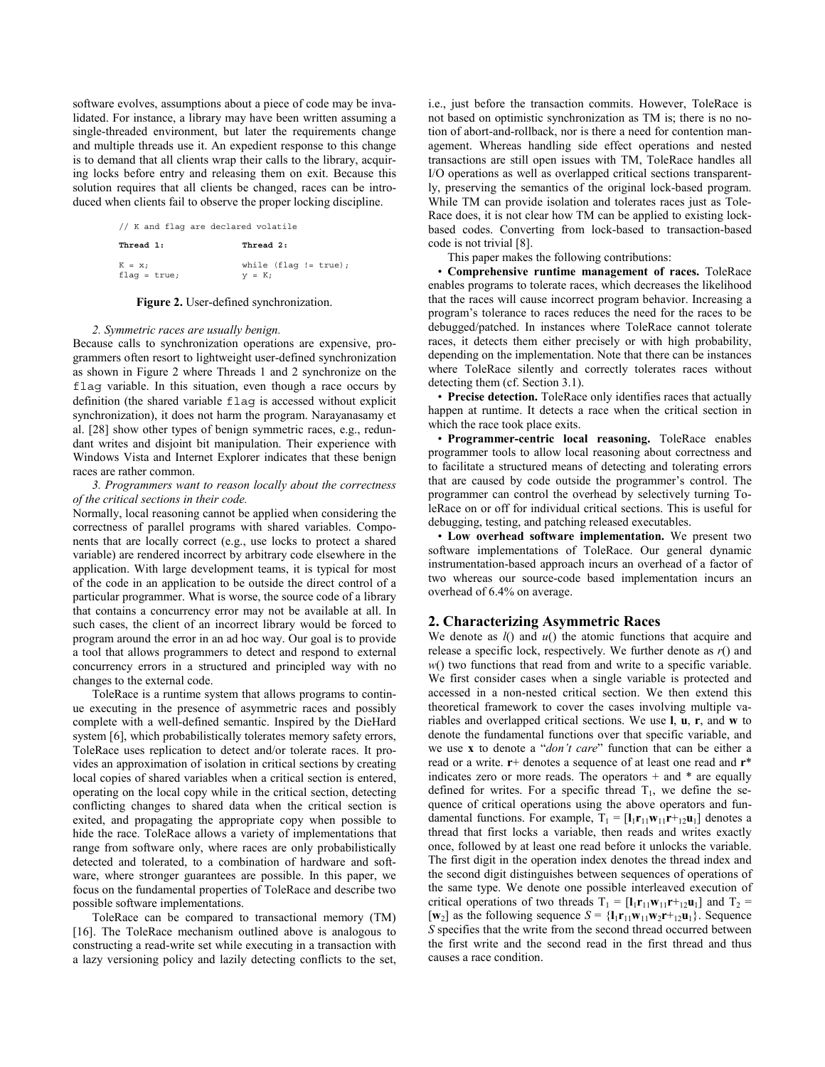software evolves, assumptions about a piece of code may be invalidated. For instance, a library may have been written assuming a single-threaded environment, but later the requirements change and multiple threads use it. An expedient response to this change is to demand that all clients wrap their calls to the library, acquiring locks before entry and releasing them on exit. Because this solution requires that all clients be changed, races can be introduced when clients fail to observe the proper locking discipline.

> **Thread 1:**   $K = x$ ; flag = true; **Thread 2:**  while (flag != true);  $y = K;$ // K and flag are declared volatile

**Figure 2.** User-defined synchronization.

### *2. Symmetric races are usually benign.*

Because calls to synchronization operations are expensive, programmers often resort to lightweight user-defined synchronization as shown in Figure 2 where Threads 1 and 2 synchronize on the flag variable. In this situation, even though a race occurs by definition (the shared variable flag is accessed without explicit synchronization), it does not harm the program. Narayanasamy et al. [28] show other types of benign symmetric races, e.g., redundant writes and disjoint bit manipulation. Their experience with Windows Vista and Internet Explorer indicates that these benign races are rather common.

*3. Programmers want to reason locally about the correctness of the critical sections in their code.* 

Normally, local reasoning cannot be applied when considering the correctness of parallel programs with shared variables. Components that are locally correct (e.g., use locks to protect a shared variable) are rendered incorrect by arbitrary code elsewhere in the application. With large development teams, it is typical for most of the code in an application to be outside the direct control of a particular programmer. What is worse, the source code of a library that contains a concurrency error may not be available at all. In such cases, the client of an incorrect library would be forced to program around the error in an ad hoc way. Our goal is to provide a tool that allows programmers to detect and respond to external concurrency errors in a structured and principled way with no changes to the external code.

ToleRace is a runtime system that allows programs to continue executing in the presence of asymmetric races and possibly complete with a well-defined semantic. Inspired by the DieHard system [6], which probabilistically tolerates memory safety errors, ToleRace uses replication to detect and/or tolerate races. It provides an approximation of isolation in critical sections by creating local copies of shared variables when a critical section is entered, operating on the local copy while in the critical section, detecting conflicting changes to shared data when the critical section is exited, and propagating the appropriate copy when possible to hide the race. ToleRace allows a variety of implementations that range from software only, where races are only probabilistically detected and tolerated, to a combination of hardware and software, where stronger guarantees are possible. In this paper, we focus on the fundamental properties of ToleRace and describe two possible software implementations.

ToleRace can be compared to transactional memory (TM) [16]. The ToleRace mechanism outlined above is analogous to constructing a read-write set while executing in a transaction with a lazy versioning policy and lazily detecting conflicts to the set,

i.e., just before the transaction commits. However, ToleRace is not based on optimistic synchronization as TM is; there is no notion of abort-and-rollback, nor is there a need for contention management. Whereas handling side effect operations and nested transactions are still open issues with TM, ToleRace handles all I/O operations as well as overlapped critical sections transparently, preserving the semantics of the original lock-based program. While TM can provide isolation and tolerates races just as Tole-Race does, it is not clear how TM can be applied to existing lockbased codes. Converting from lock-based to transaction-based code is not trivial [8].

This paper makes the following contributions:

• **Comprehensive runtime management of races.** ToleRace enables programs to tolerate races, which decreases the likelihood that the races will cause incorrect program behavior. Increasing a program's tolerance to races reduces the need for the races to be debugged/patched. In instances where ToleRace cannot tolerate races, it detects them either precisely or with high probability, depending on the implementation. Note that there can be instances where ToleRace silently and correctly tolerates races without detecting them (cf. Section 3.1).

• **Precise detection.** ToleRace only identifies races that actually happen at runtime. It detects a race when the critical section in which the race took place exits.

• **Programmer-centric local reasoning.** ToleRace enables programmer tools to allow local reasoning about correctness and to facilitate a structured means of detecting and tolerating errors that are caused by code outside the programmer's control. The programmer can control the overhead by selectively turning ToleRace on or off for individual critical sections. This is useful for debugging, testing, and patching released executables.

• **Low overhead software implementation.** We present two software implementations of ToleRace. Our general dynamic instrumentation-based approach incurs an overhead of a factor of two whereas our source-code based implementation incurs an overhead of 6.4% on average.

# **2. Characterizing Asymmetric Races**

We denote as *l*() and *u*() the atomic functions that acquire and release a specific lock, respectively. We further denote as *r*() and *w*() two functions that read from and write to a specific variable. We first consider cases when a single variable is protected and accessed in a non-nested critical section. We then extend this theoretical framework to cover the cases involving multiple variables and overlapped critical sections. We use **l**, **u**, **r**, and **w** to denote the fundamental functions over that specific variable, and we use **x** to denote a "*don't care*" function that can be either a read or a write. **r**+ denotes a sequence of at least one read and **r**\* indicates zero or more reads. The operators  $+$  and  $*$  are equally defined for writes. For a specific thread  $T_1$ , we define the sequence of critical operations using the above operators and fundamental functions. For example,  $T_1 = [\mathbf{l}_1 \mathbf{r}_{11} \mathbf{w}_{11} \mathbf{r}_{12} + \mathbf{l}_2 \mathbf{u}_1]$  denotes a thread that first locks a variable, then reads and writes exactly once, followed by at least one read before it unlocks the variable. The first digit in the operation index denotes the thread index and the second digit distinguishes between sequences of operations of the same type. We denote one possible interleaved execution of critical operations of two threads  $T_1 = [\mathbf{l}_1 \mathbf{r}_{11} \mathbf{w}_{11} \mathbf{r}_{12} + \mathbf{l}_2 \mathbf{u}_1]$  and  $T_2 =$  $[\mathbf{w}_2]$  as the following sequence  $S = \{\mathbf{l}_1 \mathbf{r}_{11} \mathbf{w}_{11} \mathbf{w}_{2} \mathbf{r}_{12} + \mathbf{l}_1 \}$ . Sequence *S* specifies that the write from the second thread occurred between the first write and the second read in the first thread and thus causes a race condition.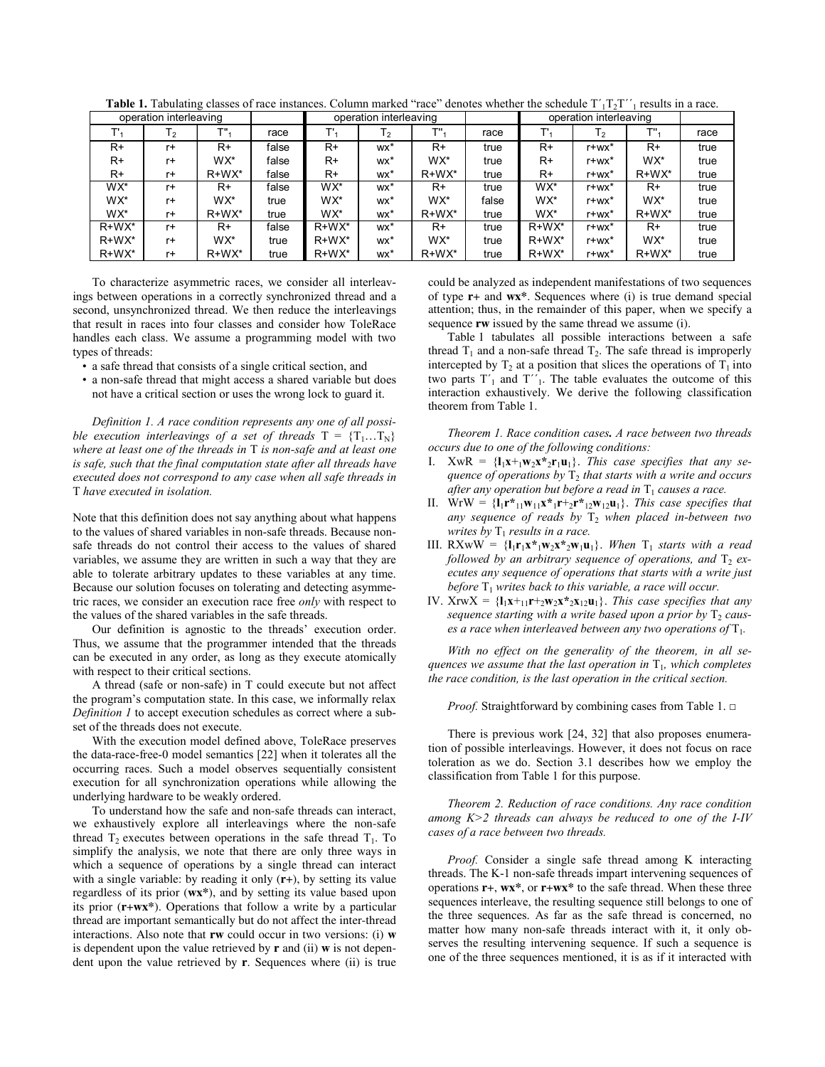**Table 1.** Tabulating classes of race instances. Column marked "race" denotes whether the schedule  $T_1T_2T'$  results in a race.

| operation interleaving |                |          | operation interleaving |          |                | operation interleaving |       |          |                |          |      |
|------------------------|----------------|----------|------------------------|----------|----------------|------------------------|-------|----------|----------------|----------|------|
| יד                     | 1 <sub>2</sub> | т".      | race                   |          | 1 <sub>2</sub> | т".                    | race  |          | 1 <sub>2</sub> | т".      | race |
| $R+$                   | $r+$           | $R+$     | false                  | $R+$     | wx*            | R+                     | true  | R+       | r+wx*          | $R+$     | true |
| R+                     | r+             | WX*      | false                  | $R+$     | wx*            | WX*                    | true  | R+       | r+wx*          | WX*      | true |
| R+                     | r+             | $R+WX^*$ | false                  | R+       | wx*            | $R+WX^*$               | true  | $R+$     | r+wx*          | $R+WX^*$ | true |
| WX*                    | $r+$           | $R+$     | false                  | WX*      | wx*            | $R+$                   | true  | WX*      | r+wx*          | $R+$     | true |
| WX*                    | $r+$           | WX*      | true                   | WX*      | wx*            | WX*                    | false | WX*      | r+wx*          | WX*      | true |
| WX*                    | r+             | $R+WX^*$ | true                   | WX*      | wx*            | $R+WX^*$               | true  | WX*      | r+wx*          | $R+WX^*$ | true |
| $R+WX^*$               | $r+$           | R+       | false                  | $R+WX^*$ | wx*            | R+                     | true  | $R+WX^*$ | r+wx*          | $R+$     | true |
| $R+WX^*$               | $r+$           | WX*      | true                   | $R+WX^*$ | wx*            | WX*                    | true  | $R+WX^*$ | r+wx*          | WX*      | true |
| $R+WX^*$               | $r+$           | $R+WX^*$ | true                   | $R+WX^*$ | wx*            | $R+WX^*$               | true  | $R+WX^*$ | r+wx*          | $R+WX^*$ | true |

To characterize asymmetric races, we consider all interleavings between operations in a correctly synchronized thread and a second, unsynchronized thread. We then reduce the interleavings that result in races into four classes and consider how ToleRace handles each class. We assume a programming model with two types of threads:

- a safe thread that consists of a single critical section, and
- a non-safe thread that might access a shared variable but does not have a critical section or uses the wrong lock to guard it.

 *Definition 1. A race condition represents any one of all possible execution interleavings of a set of threads*  $T = {T_1...T_N}$ *where at least one of the threads in* T *is non-safe and at least one is safe, such that the final computation state after all threads have executed does not correspond to any case when all safe threads in*  T *have executed in isolation.* 

Note that this definition does not say anything about what happens to the values of shared variables in non-safe threads. Because nonsafe threads do not control their access to the values of shared variables, we assume they are written in such a way that they are able to tolerate arbitrary updates to these variables at any time. Because our solution focuses on tolerating and detecting asymmetric races, we consider an execution race free *only* with respect to the values of the shared variables in the safe threads.

 Our definition is agnostic to the threads' execution order. Thus, we assume that the programmer intended that the threads can be executed in any order, as long as they execute atomically with respect to their critical sections.

 A thread (safe or non-safe) in T could execute but not affect the program's computation state. In this case, we informally relax *Definition 1* to accept execution schedules as correct where a subset of the threads does not execute.

 With the execution model defined above, ToleRace preserves the data-race-free-0 model semantics [22] when it tolerates all the occurring races. Such a model observes sequentially consistent execution for all synchronization operations while allowing the underlying hardware to be weakly ordered.

 To understand how the safe and non-safe threads can interact, we exhaustively explore all interleavings where the non-safe thread  $T_2$  executes between operations in the safe thread  $T_1$ . To simplify the analysis, we note that there are only three ways in which a sequence of operations by a single thread can interact with a single variable: by reading it only (**r**+), by setting its value regardless of its prior (**wx\***), and by setting its value based upon its prior (**r**+**wx\***). Operations that follow a write by a particular thread are important semantically but do not affect the inter-thread interactions. Also note that **rw** could occur in two versions: (i) **w** is dependent upon the value retrieved by **r** and (ii) **w** is not dependent upon the value retrieved by **r**. Sequences where (ii) is true

could be analyzed as independent manifestations of two sequences of type **r**+ and **wx\***. Sequences where (i) is true demand special attention; thus, in the remainder of this paper, when we specify a sequence **rw** issued by the same thread we assume (i).

 Table 1 tabulates all possible interactions between a safe thread  $T_1$  and a non-safe thread  $T_2$ . The safe thread is improperly intercepted by  $T_2$  at a position that slices the operations of  $T_1$  into two parts  $T'_1$  and  $T''_1$ . The table evaluates the outcome of this interaction exhaustively. We derive the following classification theorem from Table 1.

*Theorem 1. Race condition cases. A race between two threads occurs due to one of the following conditions:* 

- I.  $XwR = {l_1x + {}_1w_2x * {}_2r_1u_1}.$  This case specifies that any se*quence of operations by*  $T_2$  *that starts with a write and occurs*  $a$ *fter any operation but before a read in*  $T_1$  *causes a race.*
- II.  $WfW = \{\mathbf{l}_1 \mathbf{r}^*_{11} \mathbf{w}_{11} \mathbf{x}^*_{11} \mathbf{r}^+_{21} \mathbf{r}^*_{12} \mathbf{w}_{12} \mathbf{u}_1\}$ . This case specifies that any sequence of reads by  $T_2$  when placed in-between two *writes by*  $T_1$  *results in a race.*
- III. RXwW =  $\{I_1r_1x^*_{1}w_2x^*_{2}w_1u_1\}$ . When  $T_1$  starts with a read *followed by an arbitrary sequence of operations, and*  $T_2$  *executes any sequence of operations that starts with a write just before*  $T_1$  *writes back to this variable, a race will occur.*
- IV. Xrw $X = \{l_1x + 11r + 2w_2x^*z_1z_1u_1\}$ . This case specifies that any sequence starting with a write based upon a prior by  $T_2$  caus*es a race when interleaved between any two operations of*  $T_1$ *.*

 *With no effect on the generality of the theorem, in all sequences we assume that the last operation in*  $T_1$ *, which completes the race condition, is the last operation in the critical section.* 

*Proof.* Straightforward by combining cases from Table 1. □

There is previous work [24, 32] that also proposes enumeration of possible interleavings. However, it does not focus on race toleration as we do. Section 3.1 describes how we employ the classification from Table 1 for this purpose.

*Theorem 2. Reduction of race conditions. Any race condition among K>2 threads can always be reduced to one of the I-IV cases of a race between two threads.* 

*Proof.* Consider a single safe thread among K interacting threads. The K-1 non-safe threads impart intervening sequences of operations **r**+, **wx\***, or **r**+**wx\*** to the safe thread. When these three sequences interleave, the resulting sequence still belongs to one of the three sequences. As far as the safe thread is concerned, no matter how many non-safe threads interact with it, it only observes the resulting intervening sequence. If such a sequence is one of the three sequences mentioned, it is as if it interacted with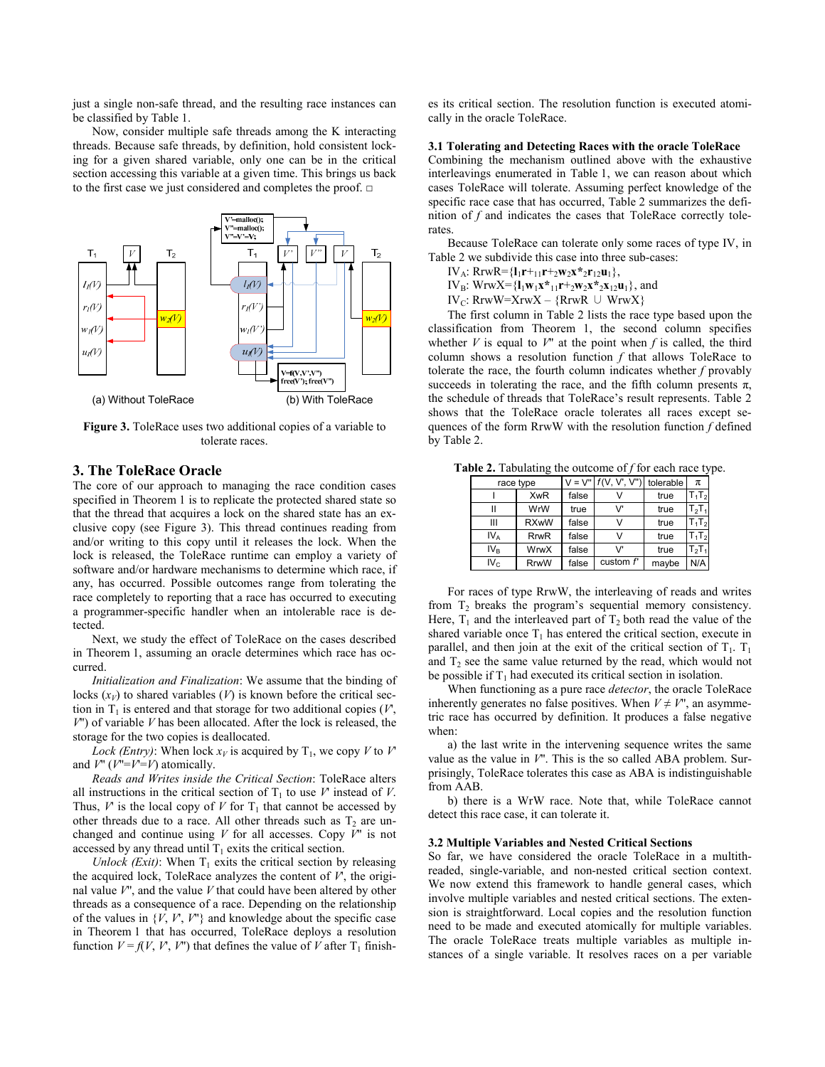just a single non-safe thread, and the resulting race instances can be classified by Table 1.

Now, consider multiple safe threads among the K interacting threads. Because safe threads, by definition, hold consistent locking for a given shared variable, only one can be in the critical section accessing this variable at a given time. This brings us back to the first case we just considered and completes the proof.  $\Box$ 



**Figure 3.** ToleRace uses two additional copies of a variable to tolerate races.

# **3. The ToleRace Oracle**

The core of our approach to managing the race condition cases specified in Theorem 1 is to replicate the protected shared state so that the thread that acquires a lock on the shared state has an exclusive copy (see Figure 3). This thread continues reading from and/or writing to this copy until it releases the lock. When the lock is released, the ToleRace runtime can employ a variety of software and/or hardware mechanisms to determine which race, if any, has occurred. Possible outcomes range from tolerating the race completely to reporting that a race has occurred to executing a programmer-specific handler when an intolerable race is detected.

 Next, we study the effect of ToleRace on the cases described in Theorem 1, assuming an oracle determines which race has occurred.

*Initialization and Finalization*: We assume that the binding of locks  $(x_V)$  to shared variables  $(V)$  is known before the critical section in  $T_1$  is entered and that storage for two additional copies ( $V$ , *V*'') of variable *V* has been allocated. After the lock is released, the storage for the two copies is deallocated.

*Lock (Entry)*: When lock  $x_V$  is acquired by  $T_1$ , we copy *V* to *V*' and  $V''(V''=V'=V)$  atomically.

*Reads and Writes inside the Critical Section*: ToleRace alters all instructions in the critical section of  $T_1$  to use *V* instead of *V*. Thus,  $V$  is the local copy of  $V$  for  $T_1$  that cannot be accessed by other threads due to a race. All other threads such as  $T_2$  are unchanged and continue using  $V$  for all accesses. Copy  $V''$  is not accessed by any thread until  $T_1$  exits the critical section.

*Unlock (Exit)*: When  $T_1$  exits the critical section by releasing the acquired lock, ToleRace analyzes the content of  $V$ , the original value  $V'$ , and the value  $V$  that could have been altered by other threads as a consequence of a race. Depending on the relationship of the values in  $\{V, V', V''\}$  and knowledge about the specific case in Theorem 1 that has occurred, ToleRace deploys a resolution function  $V = f(V, V', V')$  that defines the value of *V* after  $T_1$  finishes its critical section. The resolution function is executed atomically in the oracle ToleRace.

# **3.1 Tolerating and Detecting Races with the oracle ToleRace**

Combining the mechanism outlined above with the exhaustive interleavings enumerated in Table 1, we can reason about which cases ToleRace will tolerate. Assuming perfect knowledge of the specific race case that has occurred, Table 2 summarizes the definition of *f* and indicates the cases that ToleRace correctly tolerates.

Because ToleRace can tolerate only some races of type IV, in Table 2 we subdivide this case into three sub-cases:

- $IV_A$ :  $RrwR = {I_1r +_{11}r +_{2}w_2x *_{2}r_{12}u_1},$
- $IV_B: WrwX = {I_1w_1x *_{11}r +_{2}w_2x *_{2}x_{12}u_1}$ , and

IV<sub>C</sub>: RrwW=XrwX – {RrwR ∪ WrwX}

 The first column in Table 2 lists the race type based upon the classification from Theorem 1, the second column specifies whether  $V$  is equal to  $V''$  at the point when  $f$  is called, the third column shows a resolution function *f* that allows ToleRace to tolerate the race, the fourth column indicates whether *f* provably succeeds in tolerating the race, and the fifth column presents  $\pi$ , the schedule of threads that ToleRace's result represents. Table 2 shows that the ToleRace oracle tolerates all races except sequences of the form RrwW with the resolution function *f* defined by Table 2.

|          | $\overline{\phantom{0}}$ |       |                           |           |          |
|----------|--------------------------|-------|---------------------------|-----------|----------|
|          | race type                |       | $V = V''$ $f(V, V', V'')$ | tolerable | π        |
|          | <b>XwR</b>               | false |                           | true      | $T_1T_2$ |
|          | WrW                      | true  | v                         | true      | $T_2T_1$ |
| Ш        | <b>RXwW</b>              | false |                           | true      | $T_1T_2$ |
| $IV_A$   | <b>RrwR</b>              | false |                           | true      | $T_1T_2$ |
| $IV_{R}$ | WrwX                     | false | v                         | true      | $T_2T_1$ |
| $IV_{C}$ | <b>RrwW</b>              | false | custom f'                 | maybe     | N/A      |

**Table 2.** Tabulating the outcome of *f* for each race type.

 For races of type RrwW, the interleaving of reads and writes from T<sub>2</sub> breaks the program's sequential memory consistency. Here,  $T_1$  and the interleaved part of  $T_2$  both read the value of the shared variable once  $T_1$  has entered the critical section, execute in parallel, and then join at the exit of the critical section of  $T_1$ .  $T_1$ and  $T_2$  see the same value returned by the read, which would not be possible if  $T_1$  had executed its critical section in isolation.

When functioning as a pure race *detector*, the oracle ToleRace inherently generates no false positives. When  $V \neq V$ <sup>''</sup>, an asymmetric race has occurred by definition. It produces a false negative when:

a) the last write in the intervening sequence writes the same value as the value in *V*''. This is the so called ABA problem. Surprisingly, ToleRace tolerates this case as ABA is indistinguishable from AAB.

b) there is a WrW race. Note that, while ToleRace cannot detect this race case, it can tolerate it.

### **3.2 Multiple Variables and Nested Critical Sections**

So far, we have considered the oracle ToleRace in a multithreaded, single-variable, and non-nested critical section context. We now extend this framework to handle general cases, which involve multiple variables and nested critical sections. The extension is straightforward. Local copies and the resolution function need to be made and executed atomically for multiple variables. The oracle ToleRace treats multiple variables as multiple instances of a single variable. It resolves races on a per variable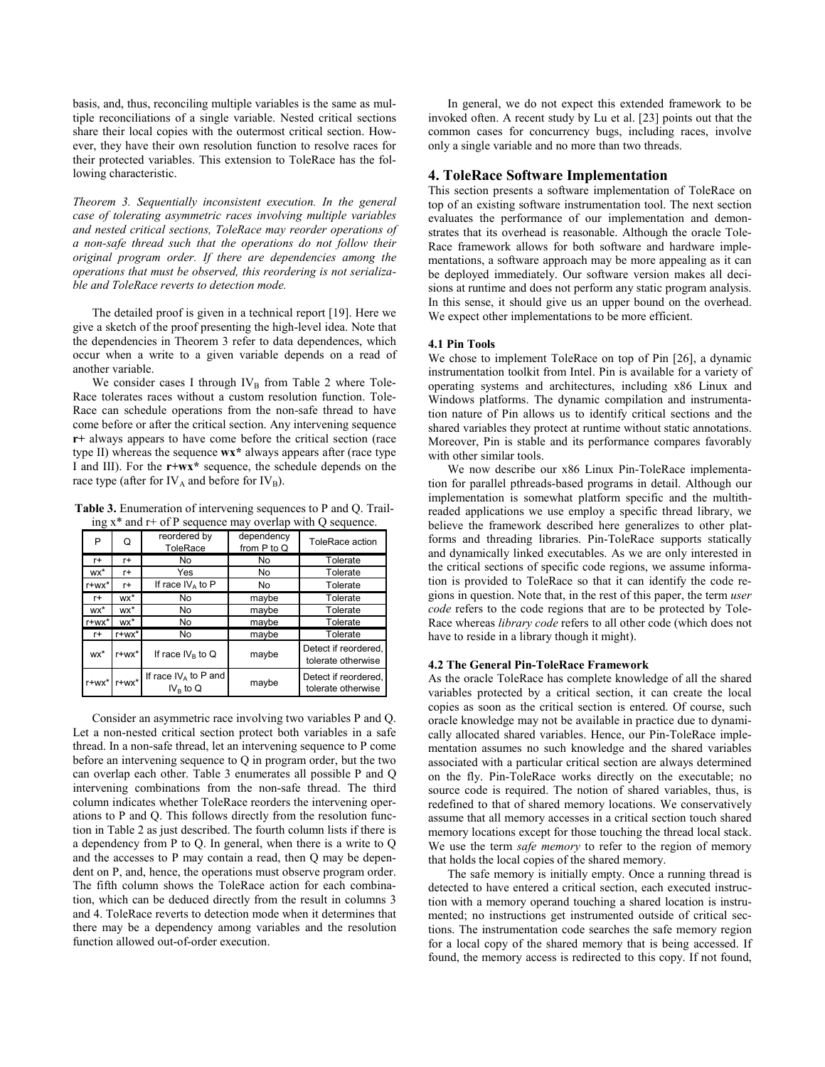basis, and, thus, reconciling multiple variables is the same as multiple reconciliations of a single variable. Nested critical sections share their local copies with the outermost critical section. However, they have their own resolution function to resolve races for their protected variables. This extension to ToleRace has the following characteristic.

*Theorem 3. Sequentially inconsistent execution. In the general case of tolerating asymmetric races involving multiple variables and nested critical sections, ToleRace may reorder operations of a non-safe thread such that the operations do not follow their original program order. If there are dependencies among the operations that must be observed, this reordering is not serializable and ToleRace reverts to detection mode.* 

The detailed proof is given in a technical report [19]. Here we give a sketch of the proof presenting the high-level idea. Note that the dependencies in Theorem 3 refer to data dependences, which occur when a write to a given variable depends on a read of another variable.

We consider cases I through  $IV_B$  from Table 2 where Tole-Race tolerates races without a custom resolution function. Tole-Race can schedule operations from the non-safe thread to have come before or after the critical section. Any intervening sequence **r+** always appears to have come before the critical section (race type II) whereas the sequence **wx\*** always appears after (race type I and III). For the **r+wx\*** sequence, the schedule depends on the race type (after for  $IV_A$  and before for  $IV_B$ ).

**Table 3.** Enumeration of intervening sequences to P and Q. Trailing  $x^*$  and  $r^+$  of P sequence may overlap with Q sequence.

| P       | Q        | reordered by<br><b>ToleRace</b>      | dependency<br>from P to Q | ToleRace action                            |  |
|---------|----------|--------------------------------------|---------------------------|--------------------------------------------|--|
| r+      | r+       | No                                   | No                        | Tolerate                                   |  |
| wx*     | r+       | Yes                                  | No                        | Tolerate                                   |  |
| $r+wx*$ | r+       | If race $IV_A$ to P                  | No                        | Tolerate                                   |  |
| r+      | $WX^*$   | No                                   | maybe                     | Tolerate                                   |  |
| wx*     | wx*      | No                                   | maybe                     | Tolerate                                   |  |
| $r+wx*$ | wx*      | No                                   | maybe                     | Tolerate                                   |  |
| r+      | $r+wx^*$ | No.                                  | maybe                     | Tolerate                                   |  |
| wx*     | $r+wx*$  | If race $IV_R$ to $Q$                | maybe                     | Detect if reordered,<br>tolerate otherwise |  |
| $r+wx*$ | $r+wx^*$ | If race $IVA$ to P and<br>$IVB$ to Q | maybe                     | Detect if reordered,<br>tolerate otherwise |  |

Consider an asymmetric race involving two variables P and Q. Let a non-nested critical section protect both variables in a safe thread. In a non-safe thread, let an intervening sequence to P come before an intervening sequence to Q in program order, but the two can overlap each other. Table 3 enumerates all possible P and Q intervening combinations from the non-safe thread. The third column indicates whether ToleRace reorders the intervening operations to P and Q. This follows directly from the resolution function in Table 2 as just described. The fourth column lists if there is a dependency from P to Q. In general, when there is a write to Q and the accesses to P may contain a read, then Q may be dependent on P, and, hence, the operations must observe program order. The fifth column shows the ToleRace action for each combination, which can be deduced directly from the result in columns 3 and 4. ToleRace reverts to detection mode when it determines that there may be a dependency among variables and the resolution function allowed out-of-order execution.

In general, we do not expect this extended framework to be invoked often. A recent study by Lu et al. [23] points out that the common cases for concurrency bugs, including races, involve only a single variable and no more than two threads.

# **4. ToleRace Software Implementation**

This section presents a software implementation of ToleRace on top of an existing software instrumentation tool. The next section evaluates the performance of our implementation and demonstrates that its overhead is reasonable. Although the oracle Tole-Race framework allows for both software and hardware implementations, a software approach may be more appealing as it can be deployed immediately. Our software version makes all decisions at runtime and does not perform any static program analysis. In this sense, it should give us an upper bound on the overhead. We expect other implementations to be more efficient.

### **4.1 Pin Tools**

We chose to implement ToleRace on top of Pin [26], a dynamic instrumentation toolkit from Intel. Pin is available for a variety of operating systems and architectures, including x86 Linux and Windows platforms. The dynamic compilation and instrumentation nature of Pin allows us to identify critical sections and the shared variables they protect at runtime without static annotations. Moreover, Pin is stable and its performance compares favorably with other similar tools.

 We now describe our x86 Linux Pin-ToleRace implementation for parallel pthreads-based programs in detail. Although our implementation is somewhat platform specific and the multithreaded applications we use employ a specific thread library, we believe the framework described here generalizes to other platforms and threading libraries. Pin-ToleRace supports statically and dynamically linked executables. As we are only interested in the critical sections of specific code regions, we assume information is provided to ToleRace so that it can identify the code regions in question. Note that, in the rest of this paper, the term *user code* refers to the code regions that are to be protected by Tole-Race whereas *library code* refers to all other code (which does not have to reside in a library though it might).

# **4.2 The General Pin-ToleRace Framework**

As the oracle ToleRace has complete knowledge of all the shared variables protected by a critical section, it can create the local copies as soon as the critical section is entered. Of course, such oracle knowledge may not be available in practice due to dynamically allocated shared variables. Hence, our Pin-ToleRace implementation assumes no such knowledge and the shared variables associated with a particular critical section are always determined on the fly. Pin-ToleRace works directly on the executable; no source code is required. The notion of shared variables, thus, is redefined to that of shared memory locations. We conservatively assume that all memory accesses in a critical section touch shared memory locations except for those touching the thread local stack. We use the term *safe memory* to refer to the region of memory that holds the local copies of the shared memory.

 The safe memory is initially empty. Once a running thread is detected to have entered a critical section, each executed instruction with a memory operand touching a shared location is instrumented; no instructions get instrumented outside of critical sections. The instrumentation code searches the safe memory region for a local copy of the shared memory that is being accessed. If found, the memory access is redirected to this copy. If not found,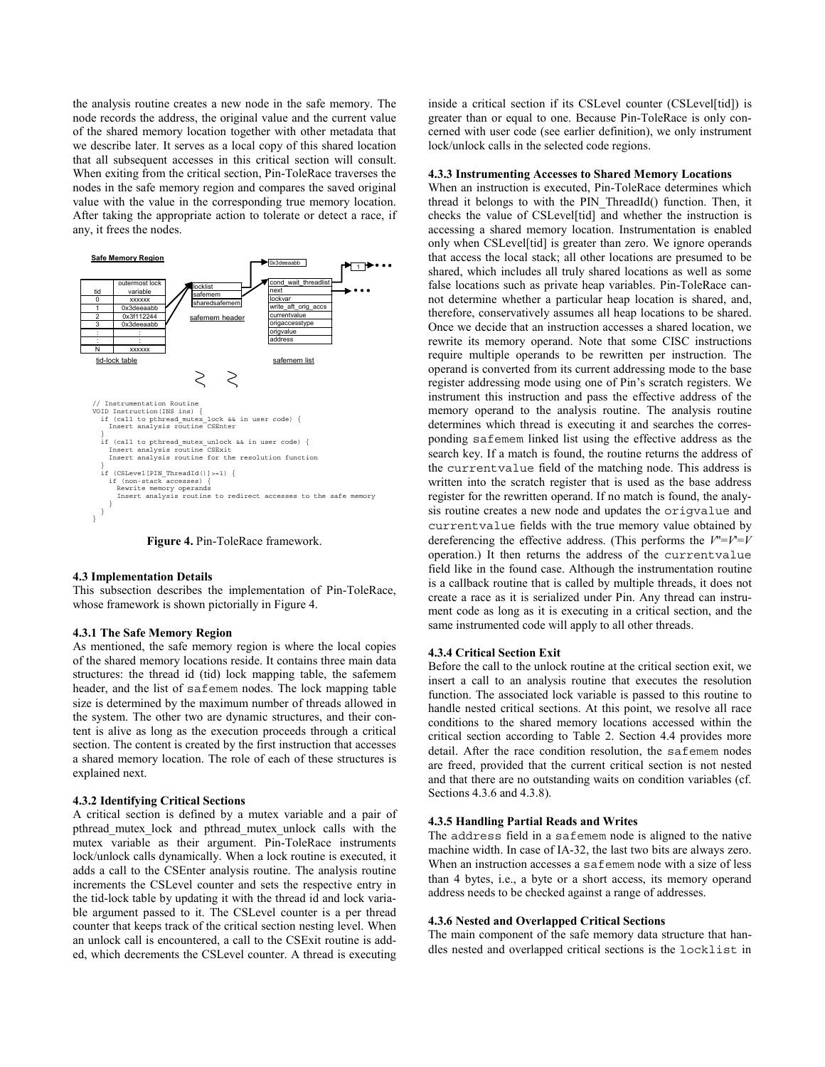the analysis routine creates a new node in the safe memory. The node records the address, the original value and the current value of the shared memory location together with other metadata that we describe later. It serves as a local copy of this shared location that all subsequent accesses in this critical section will consult. When exiting from the critical section, Pin-ToleRace traverses the nodes in the safe memory region and compares the saved original value with the value in the corresponding true memory location. After taking the appropriate action to tolerate or detect a race, if any, it frees the nodes.



**Figure 4.** Pin-ToleRace framework.

### **4.3 Implementation Details**

This subsection describes the implementation of Pin-ToleRace, whose framework is shown pictorially in Figure 4.

### **4.3.1 The Safe Memory Region**

As mentioned, the safe memory region is where the local copies of the shared memory locations reside. It contains three main data structures: the thread id (tid) lock mapping table, the safemem header, and the list of safemem nodes. The lock mapping table size is determined by the maximum number of threads allowed in the system. The other two are dynamic structures, and their content is alive as long as the execution proceeds through a critical section. The content is created by the first instruction that accesses a shared memory location. The role of each of these structures is explained next.

# **4.3.2 Identifying Critical Sections**

A critical section is defined by a mutex variable and a pair of pthread\_mutex\_lock and pthread\_mutex\_unlock calls with the mutex variable as their argument. Pin-ToleRace instruments lock/unlock calls dynamically. When a lock routine is executed, it adds a call to the CSEnter analysis routine. The analysis routine increments the CSLevel counter and sets the respective entry in the tid-lock table by updating it with the thread id and lock variable argument passed to it. The CSLevel counter is a per thread counter that keeps track of the critical section nesting level. When an unlock call is encountered, a call to the CSExit routine is added, which decrements the CSLevel counter. A thread is executing

inside a critical section if its CSLevel counter (CSLevel[tid]) is greater than or equal to one. Because Pin-ToleRace is only concerned with user code (see earlier definition), we only instrument lock/unlock calls in the selected code regions.

### **4.3.3 Instrumenting Accesses to Shared Memory Locations**

When an instruction is executed, Pin-ToleRace determines which thread it belongs to with the PIN\_ThreadId() function. Then, it checks the value of CSLevel[tid] and whether the instruction is accessing a shared memory location. Instrumentation is enabled only when CSLevel[tid] is greater than zero. We ignore operands that access the local stack; all other locations are presumed to be shared, which includes all truly shared locations as well as some false locations such as private heap variables. Pin-ToleRace cannot determine whether a particular heap location is shared, and, therefore, conservatively assumes all heap locations to be shared. Once we decide that an instruction accesses a shared location, we rewrite its memory operand. Note that some CISC instructions require multiple operands to be rewritten per instruction. The operand is converted from its current addressing mode to the base register addressing mode using one of Pin's scratch registers. We instrument this instruction and pass the effective address of the memory operand to the analysis routine. The analysis routine determines which thread is executing it and searches the corresponding safemem linked list using the effective address as the search key. If a match is found, the routine returns the address of the currentvalue field of the matching node. This address is written into the scratch register that is used as the base address register for the rewritten operand. If no match is found, the analysis routine creates a new node and updates the origvalue and currentvalue fields with the true memory value obtained by dereferencing the effective address. (This performs the  $V''=V'=V$ operation.) It then returns the address of the currentvalue field like in the found case. Although the instrumentation routine is a callback routine that is called by multiple threads, it does not create a race as it is serialized under Pin. Any thread can instrument code as long as it is executing in a critical section, and the same instrumented code will apply to all other threads.

### **4.3.4 Critical Section Exit**

Before the call to the unlock routine at the critical section exit, we insert a call to an analysis routine that executes the resolution function. The associated lock variable is passed to this routine to handle nested critical sections. At this point, we resolve all race conditions to the shared memory locations accessed within the critical section according to Table 2. Section 4.4 provides more detail. After the race condition resolution, the safemem nodes are freed, provided that the current critical section is not nested and that there are no outstanding waits on condition variables (cf. Sections 4.3.6 and 4.3.8).

### **4.3.5 Handling Partial Reads and Writes**

The address field in a safemem node is aligned to the native machine width. In case of IA-32, the last two bits are always zero. When an instruction accesses a safemem node with a size of less than 4 bytes, i.e., a byte or a short access, its memory operand address needs to be checked against a range of addresses.

# **4.3.6 Nested and Overlapped Critical Sections**

The main component of the safe memory data structure that handles nested and overlapped critical sections is the locklist in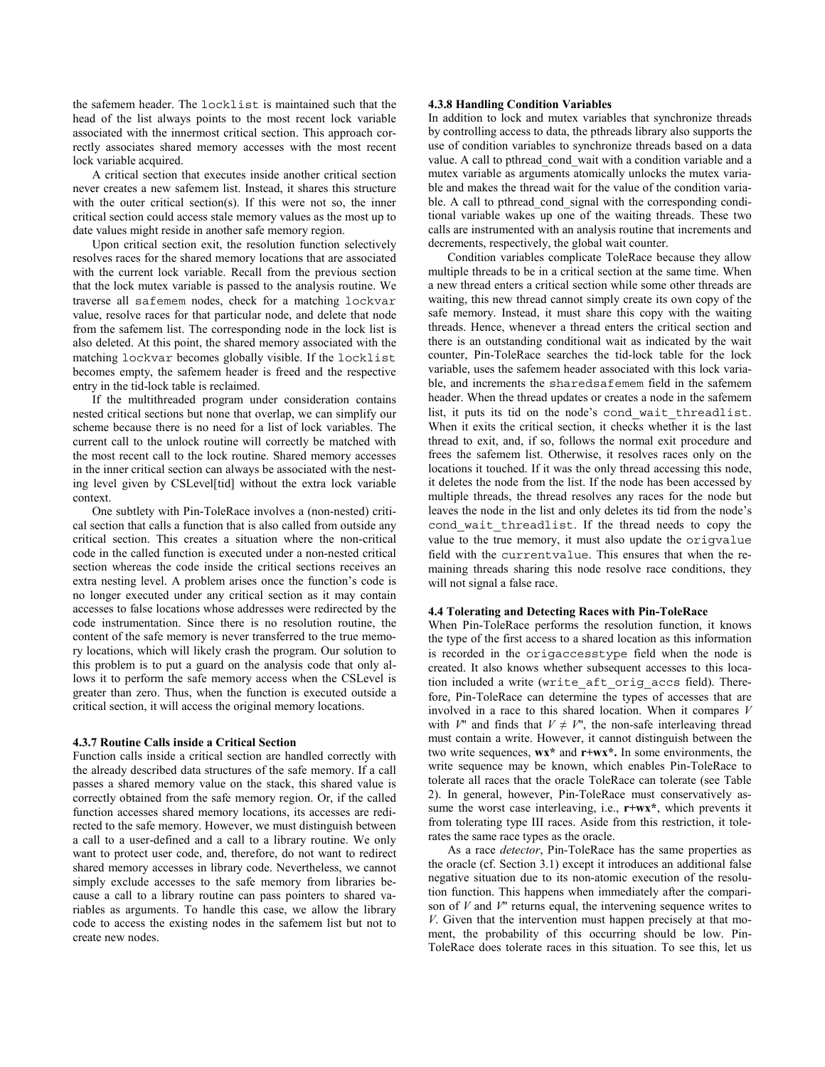the safemem header. The locklist is maintained such that the head of the list always points to the most recent lock variable associated with the innermost critical section. This approach correctly associates shared memory accesses with the most recent lock variable acquired.

 A critical section that executes inside another critical section never creates a new safemem list. Instead, it shares this structure with the outer critical section(s). If this were not so, the inner critical section could access stale memory values as the most up to date values might reside in another safe memory region.

 Upon critical section exit, the resolution function selectively resolves races for the shared memory locations that are associated with the current lock variable. Recall from the previous section that the lock mutex variable is passed to the analysis routine. We traverse all safemem nodes, check for a matching lockvar value, resolve races for that particular node, and delete that node from the safemem list. The corresponding node in the lock list is also deleted. At this point, the shared memory associated with the matching lockvar becomes globally visible. If the locklist becomes empty, the safemem header is freed and the respective entry in the tid-lock table is reclaimed.

 If the multithreaded program under consideration contains nested critical sections but none that overlap, we can simplify our scheme because there is no need for a list of lock variables. The current call to the unlock routine will correctly be matched with the most recent call to the lock routine. Shared memory accesses in the inner critical section can always be associated with the nesting level given by CSLevel[tid] without the extra lock variable context.

One subtlety with Pin-ToleRace involves a (non-nested) critical section that calls a function that is also called from outside any critical section. This creates a situation where the non-critical code in the called function is executed under a non-nested critical section whereas the code inside the critical sections receives an extra nesting level. A problem arises once the function's code is no longer executed under any critical section as it may contain accesses to false locations whose addresses were redirected by the code instrumentation. Since there is no resolution routine, the content of the safe memory is never transferred to the true memory locations, which will likely crash the program. Our solution to this problem is to put a guard on the analysis code that only allows it to perform the safe memory access when the CSLevel is greater than zero. Thus, when the function is executed outside a critical section, it will access the original memory locations.

#### **4.3.7 Routine Calls inside a Critical Section**

Function calls inside a critical section are handled correctly with the already described data structures of the safe memory. If a call passes a shared memory value on the stack, this shared value is correctly obtained from the safe memory region. Or, if the called function accesses shared memory locations, its accesses are redirected to the safe memory. However, we must distinguish between a call to a user-defined and a call to a library routine. We only want to protect user code, and, therefore, do not want to redirect shared memory accesses in library code. Nevertheless, we cannot simply exclude accesses to the safe memory from libraries because a call to a library routine can pass pointers to shared variables as arguments. To handle this case, we allow the library code to access the existing nodes in the safemem list but not to create new nodes.

# **4.3.8 Handling Condition Variables**

In addition to lock and mutex variables that synchronize threads by controlling access to data, the pthreads library also supports the use of condition variables to synchronize threads based on a data value. A call to pthread\_cond\_wait with a condition variable and a mutex variable as arguments atomically unlocks the mutex variable and makes the thread wait for the value of the condition variable. A call to pthread cond signal with the corresponding conditional variable wakes up one of the waiting threads. These two calls are instrumented with an analysis routine that increments and decrements, respectively, the global wait counter.

Condition variables complicate ToleRace because they allow multiple threads to be in a critical section at the same time. When a new thread enters a critical section while some other threads are waiting, this new thread cannot simply create its own copy of the safe memory. Instead, it must share this copy with the waiting threads. Hence, whenever a thread enters the critical section and there is an outstanding conditional wait as indicated by the wait counter, Pin-ToleRace searches the tid-lock table for the lock variable, uses the safemem header associated with this lock variable, and increments the sharedsafemem field in the safemem header. When the thread updates or creates a node in the safemem list, it puts its tid on the node's cond\_wait\_threadlist. When it exits the critical section, it checks whether it is the last thread to exit, and, if so, follows the normal exit procedure and frees the safemem list. Otherwise, it resolves races only on the locations it touched. If it was the only thread accessing this node, it deletes the node from the list. If the node has been accessed by multiple threads, the thread resolves any races for the node but leaves the node in the list and only deletes its tid from the node's cond\_wait\_threadlist. If the thread needs to copy the value to the true memory, it must also update the origvalue field with the currentvalue. This ensures that when the remaining threads sharing this node resolve race conditions, they will not signal a false race.

### **4.4 Tolerating and Detecting Races with Pin-ToleRace**

When Pin-ToleRace performs the resolution function, it knows the type of the first access to a shared location as this information is recorded in the origaccesstype field when the node is created. It also knows whether subsequent accesses to this location included a write (write\_aft\_orig\_accs field). Therefore, Pin-ToleRace can determine the types of accesses that are involved in a race to this shared location. When it compares *V* with  $V''$  and finds that  $V \neq V''$ , the non-safe interleaving thread must contain a write. However, it cannot distinguish between the two write sequences, **wx\*** and **r+wx\*.** In some environments, the write sequence may be known, which enables Pin-ToleRace to tolerate all races that the oracle ToleRace can tolerate (see Table 2). In general, however, Pin-ToleRace must conservatively assume the worst case interleaving, i.e., **r+wx\***, which prevents it from tolerating type III races. Aside from this restriction, it tolerates the same race types as the oracle.

As a race *detector*, Pin-ToleRace has the same properties as the oracle (cf. Section 3.1) except it introduces an additional false negative situation due to its non-atomic execution of the resolution function. This happens when immediately after the comparison of *V* and *V*'' returns equal, the intervening sequence writes to *V*. Given that the intervention must happen precisely at that moment, the probability of this occurring should be low. Pin-ToleRace does tolerate races in this situation. To see this, let us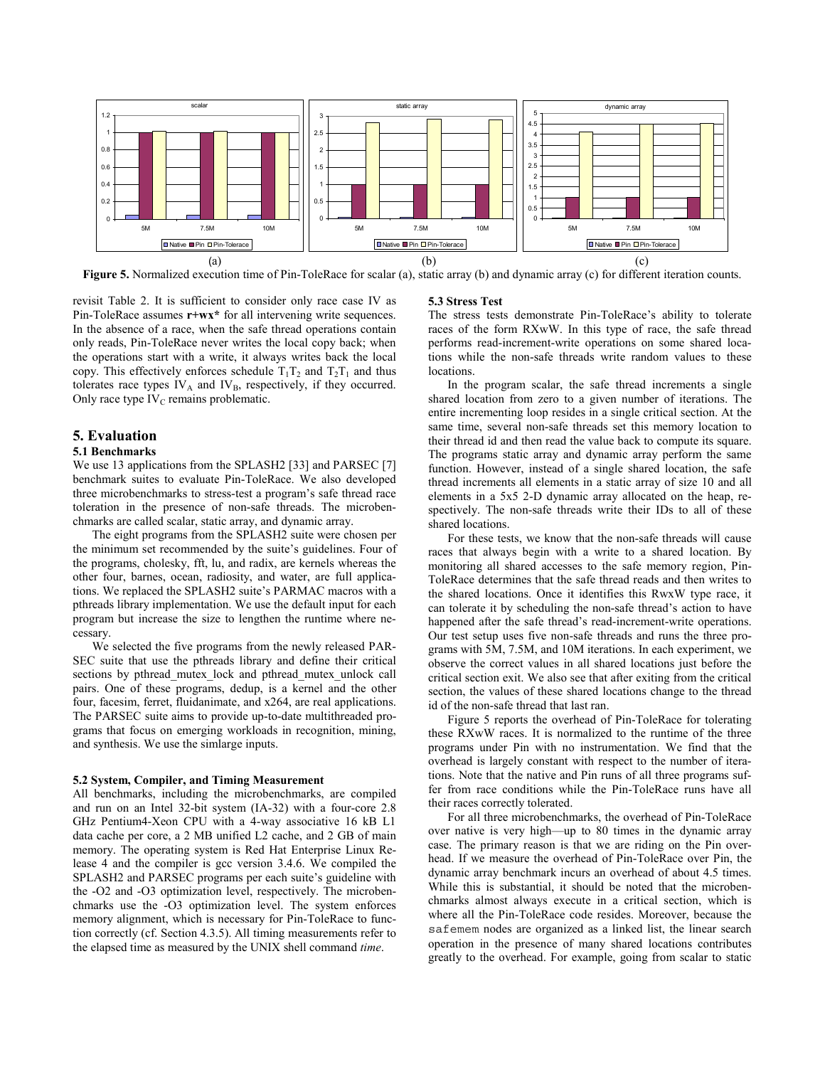

**Figure 5.** Normalized execution time of Pin-ToleRace for scalar (a), static array (b) and dynamic array (c) for different iteration counts.

revisit Table 2. It is sufficient to consider only race case IV as Pin-ToleRace assumes **r+wx\*** for all intervening write sequences. In the absence of a race, when the safe thread operations contain only reads, Pin-ToleRace never writes the local copy back; when the operations start with a write, it always writes back the local copy. This effectively enforces schedule  $T_1T_2$  and  $T_2T_1$  and thus tolerates race types  $IV_A$  and  $IV_B$ , respectively, if they occurred. Only race type  $IV<sub>C</sub>$  remains problematic.

# **5. Evaluation**

## **5.1 Benchmarks**

We use 13 applications from the SPLASH2 [33] and PARSEC [7] benchmark suites to evaluate Pin-ToleRace. We also developed three microbenchmarks to stress-test a program's safe thread race toleration in the presence of non-safe threads. The microbenchmarks are called scalar, static array, and dynamic array.

 The eight programs from the SPLASH2 suite were chosen per the minimum set recommended by the suite's guidelines. Four of the programs, cholesky, fft, lu, and radix, are kernels whereas the other four, barnes, ocean, radiosity, and water, are full applications. We replaced the SPLASH2 suite's PARMAC macros with a pthreads library implementation. We use the default input for each program but increase the size to lengthen the runtime where necessary.

 We selected the five programs from the newly released PAR-SEC suite that use the pthreads library and define their critical sections by pthread\_mutex\_lock and pthread\_mutex\_unlock call pairs. One of these programs, dedup, is a kernel and the other four, facesim, ferret, fluidanimate, and x264, are real applications. The PARSEC suite aims to provide up-to-date multithreaded programs that focus on emerging workloads in recognition, mining, and synthesis. We use the simlarge inputs.

### **5.2 System, Compiler, and Timing Measurement**

All benchmarks, including the microbenchmarks, are compiled and run on an Intel 32-bit system (IA-32) with a four-core 2.8 GHz Pentium4-Xeon CPU with a 4-way associative 16 kB L1 data cache per core, a 2 MB unified L2 cache, and 2 GB of main memory. The operating system is Red Hat Enterprise Linux Release 4 and the compiler is gcc version 3.4.6. We compiled the SPLASH2 and PARSEC programs per each suite's guideline with the -O2 and -O3 optimization level, respectively. The microbenchmarks use the -O3 optimization level. The system enforces memory alignment, which is necessary for Pin-ToleRace to function correctly (cf. Section 4.3.5). All timing measurements refer to the elapsed time as measured by the UNIX shell command *time*.

### **5.3 Stress Test**

The stress tests demonstrate Pin-ToleRace's ability to tolerate races of the form RXwW. In this type of race, the safe thread performs read-increment-write operations on some shared locations while the non-safe threads write random values to these locations.

 In the program scalar, the safe thread increments a single shared location from zero to a given number of iterations. The entire incrementing loop resides in a single critical section. At the same time, several non-safe threads set this memory location to their thread id and then read the value back to compute its square. The programs static array and dynamic array perform the same function. However, instead of a single shared location, the safe thread increments all elements in a static array of size 10 and all elements in a 5x5 2-D dynamic array allocated on the heap, respectively. The non-safe threads write their IDs to all of these shared locations.

For these tests, we know that the non-safe threads will cause races that always begin with a write to a shared location. By monitoring all shared accesses to the safe memory region, Pin-ToleRace determines that the safe thread reads and then writes to the shared locations. Once it identifies this RwxW type race, it can tolerate it by scheduling the non-safe thread's action to have happened after the safe thread's read-increment-write operations. Our test setup uses five non-safe threads and runs the three programs with 5M, 7.5M, and 10M iterations. In each experiment, we observe the correct values in all shared locations just before the critical section exit. We also see that after exiting from the critical section, the values of these shared locations change to the thread id of the non-safe thread that last ran.

Figure 5 reports the overhead of Pin-ToleRace for tolerating these RXwW races. It is normalized to the runtime of the three programs under Pin with no instrumentation. We find that the overhead is largely constant with respect to the number of iterations. Note that the native and Pin runs of all three programs suffer from race conditions while the Pin-ToleRace runs have all their races correctly tolerated.

For all three microbenchmarks, the overhead of Pin-ToleRace over native is very high—up to 80 times in the dynamic array case. The primary reason is that we are riding on the Pin overhead. If we measure the overhead of Pin-ToleRace over Pin, the dynamic array benchmark incurs an overhead of about 4.5 times. While this is substantial, it should be noted that the microbenchmarks almost always execute in a critical section, which is where all the Pin-ToleRace code resides. Moreover, because the safemem nodes are organized as a linked list, the linear search operation in the presence of many shared locations contributes greatly to the overhead. For example, going from scalar to static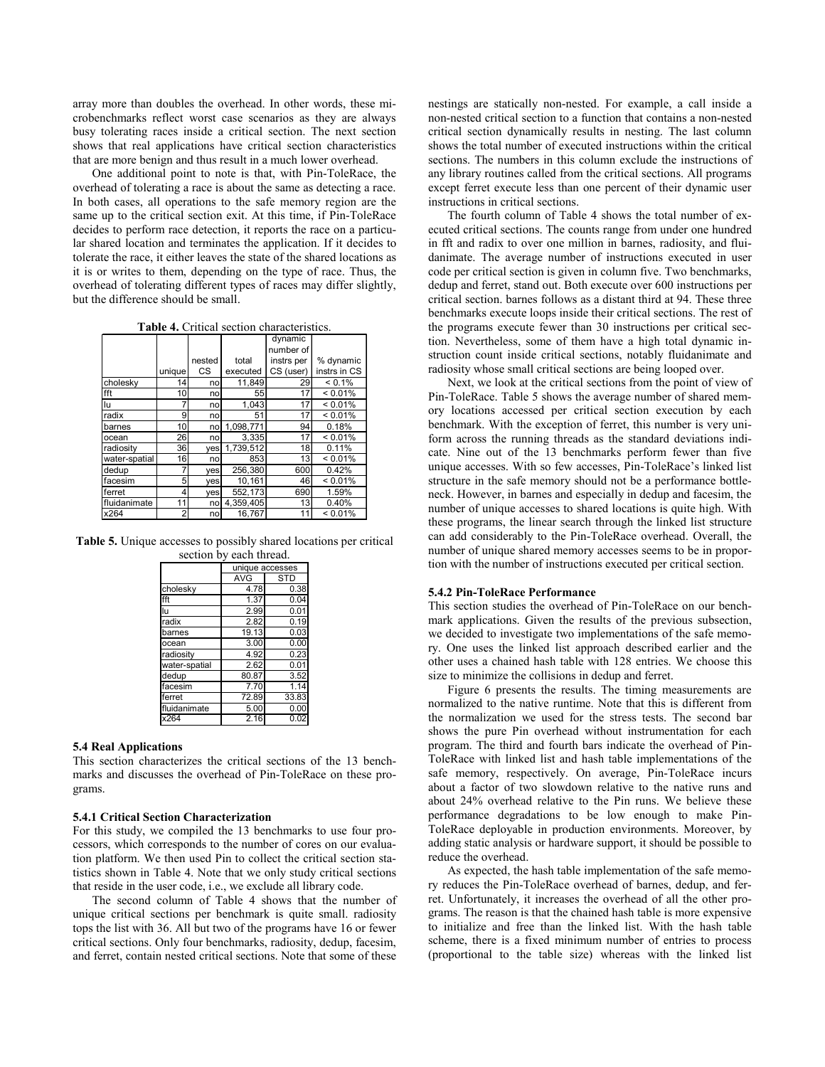array more than doubles the overhead. In other words, these microbenchmarks reflect worst case scenarios as they are always busy tolerating races inside a critical section. The next section shows that real applications have critical section characteristics that are more benign and thus result in a much lower overhead.

One additional point to note is that, with Pin-ToleRace, the overhead of tolerating a race is about the same as detecting a race. In both cases, all operations to the safe memory region are the same up to the critical section exit. At this time, if Pin-ToleRace decides to perform race detection, it reports the race on a particular shared location and terminates the application. If it decides to tolerate the race, it either leaves the state of the shared locations as it is or writes to them, depending on the type of race. Thus, the overhead of tolerating different types of races may differ slightly, but the difference should be small.

**Table 4.** Critical section characteristics.

|               |        |        |           | dynamic    |              |
|---------------|--------|--------|-----------|------------|--------------|
|               |        |        |           | number of  |              |
|               |        | nested | total     | instrs per | % dynamic    |
|               | unique | CS     | executed  | CS (user)  | instrs in CS |
| cholesky      | 14     | no     | 11.849    | 29         | $< 0.1\%$    |
| fft           | 10     | no     | 55        | 17         | < 0.01%      |
| lu            | 7      | no     | 1.043     | 17         | < 0.01%      |
| radix         | 9      | no     | 51        | 17         | < 0.01%      |
| barnes        | 10     | no     | 1.098.771 | 94         | 0.18%        |
| ocean         | 26     | no     | 3,335     | 17         | < 0.01%      |
| radiosity     | 36     | ves    | 1,739,512 | 18         | 0.11%        |
| water-spatial | 16     | no     | 853       | 13         | < 0.01%      |
| dedup         |        | yes    | 256,380   | 600        | 0.42%        |
| facesim       | 5      | ves    | 10.161    | 46         | < 0.01%      |
| ferret        | 4      | ves    | 552,173   | 690        | 1.59%        |
| fluidanimate  | 11     | no     | 4.359.405 | 13         | 0.40%        |
| x264          | 2      | no     | 16,767    | 11         | < 0.01%      |

**Table 5.** Unique accesses to possibly shared locations per critical section by each thread.

| .             |                 |            |  |  |
|---------------|-----------------|------------|--|--|
|               | unique accesses |            |  |  |
|               | <b>AVG</b>      | <b>STD</b> |  |  |
| cholesky      | 4.78            | 0.38       |  |  |
| fft           | 1.37            | 0.04       |  |  |
| lu            | 2.99            | 0.01       |  |  |
| radix         | 2.82            | 0.19       |  |  |
| barnes        | 19.13           | 0.03       |  |  |
| ocean         | 3.00            | 0.00       |  |  |
| radiosity     | 4.92            | 0.23       |  |  |
| water-spatial | 2.62            | 0.01       |  |  |
| dedup         | 80.87           | 3.52       |  |  |
| facesim       | 7.70            | 1.14       |  |  |
| ferret        | 72.89           | 33.83      |  |  |
| fluidanimate  | 5.00            | 0.00       |  |  |
| x264          | 2.16            | 0.02       |  |  |

# **5.4 Real Applications**

This section characterizes the critical sections of the 13 benchmarks and discusses the overhead of Pin-ToleRace on these programs.

### **5.4.1 Critical Section Characterization**

For this study, we compiled the 13 benchmarks to use four processors, which corresponds to the number of cores on our evaluation platform. We then used Pin to collect the critical section statistics shown in Table 4. Note that we only study critical sections that reside in the user code, i.e., we exclude all library code.

The second column of Table 4 shows that the number of unique critical sections per benchmark is quite small. radiosity tops the list with 36. All but two of the programs have 16 or fewer critical sections. Only four benchmarks, radiosity, dedup, facesim, and ferret, contain nested critical sections. Note that some of these

nestings are statically non-nested. For example, a call inside a non-nested critical section to a function that contains a non-nested critical section dynamically results in nesting. The last column shows the total number of executed instructions within the critical sections. The numbers in this column exclude the instructions of any library routines called from the critical sections. All programs except ferret execute less than one percent of their dynamic user instructions in critical sections.

 The fourth column of Table 4 shows the total number of executed critical sections. The counts range from under one hundred in fft and radix to over one million in barnes, radiosity, and fluidanimate. The average number of instructions executed in user code per critical section is given in column five. Two benchmarks, dedup and ferret, stand out. Both execute over 600 instructions per critical section. barnes follows as a distant third at 94. These three benchmarks execute loops inside their critical sections. The rest of the programs execute fewer than 30 instructions per critical section. Nevertheless, some of them have a high total dynamic instruction count inside critical sections, notably fluidanimate and radiosity whose small critical sections are being looped over.

Next, we look at the critical sections from the point of view of Pin-ToleRace. Table 5 shows the average number of shared memory locations accessed per critical section execution by each benchmark. With the exception of ferret, this number is very uniform across the running threads as the standard deviations indicate. Nine out of the 13 benchmarks perform fewer than five unique accesses. With so few accesses, Pin-ToleRace's linked list structure in the safe memory should not be a performance bottleneck. However, in barnes and especially in dedup and facesim, the number of unique accesses to shared locations is quite high. With these programs, the linear search through the linked list structure can add considerably to the Pin-ToleRace overhead. Overall, the number of unique shared memory accesses seems to be in proportion with the number of instructions executed per critical section.

### **5.4.2 Pin-ToleRace Performance**

This section studies the overhead of Pin-ToleRace on our benchmark applications. Given the results of the previous subsection, we decided to investigate two implementations of the safe memory. One uses the linked list approach described earlier and the other uses a chained hash table with 128 entries. We choose this size to minimize the collisions in dedup and ferret.

Figure 6 presents the results. The timing measurements are normalized to the native runtime. Note that this is different from the normalization we used for the stress tests. The second bar shows the pure Pin overhead without instrumentation for each program. The third and fourth bars indicate the overhead of Pin-ToleRace with linked list and hash table implementations of the safe memory, respectively. On average, Pin-ToleRace incurs about a factor of two slowdown relative to the native runs and about 24% overhead relative to the Pin runs. We believe these performance degradations to be low enough to make Pin-ToleRace deployable in production environments. Moreover, by adding static analysis or hardware support, it should be possible to reduce the overhead.

As expected, the hash table implementation of the safe memory reduces the Pin-ToleRace overhead of barnes, dedup, and ferret. Unfortunately, it increases the overhead of all the other programs. The reason is that the chained hash table is more expensive to initialize and free than the linked list. With the hash table scheme, there is a fixed minimum number of entries to process (proportional to the table size) whereas with the linked list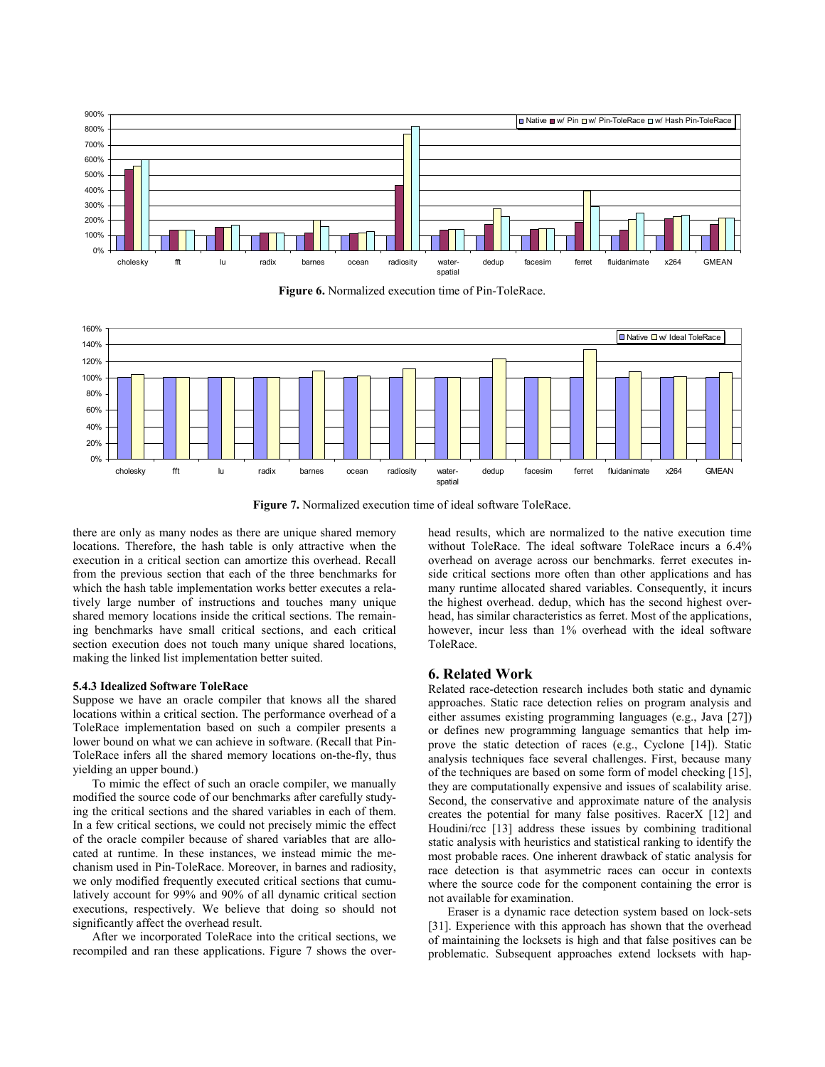

**Figure 6.** Normalized execution time of Pin-ToleRace.



**Figure 7.** Normalized execution time of ideal software ToleRace.

there are only as many nodes as there are unique shared memory locations. Therefore, the hash table is only attractive when the execution in a critical section can amortize this overhead. Recall from the previous section that each of the three benchmarks for which the hash table implementation works better executes a relatively large number of instructions and touches many unique shared memory locations inside the critical sections. The remaining benchmarks have small critical sections, and each critical section execution does not touch many unique shared locations, making the linked list implementation better suited.

### **5.4.3 Idealized Software ToleRace**

Suppose we have an oracle compiler that knows all the shared locations within a critical section. The performance overhead of a ToleRace implementation based on such a compiler presents a lower bound on what we can achieve in software. (Recall that Pin-ToleRace infers all the shared memory locations on-the-fly, thus yielding an upper bound.)

 To mimic the effect of such an oracle compiler, we manually modified the source code of our benchmarks after carefully studying the critical sections and the shared variables in each of them. In a few critical sections, we could not precisely mimic the effect of the oracle compiler because of shared variables that are allocated at runtime. In these instances, we instead mimic the mechanism used in Pin-ToleRace. Moreover, in barnes and radiosity, we only modified frequently executed critical sections that cumulatively account for 99% and 90% of all dynamic critical section executions, respectively. We believe that doing so should not significantly affect the overhead result.

After we incorporated ToleRace into the critical sections, we recompiled and ran these applications. Figure 7 shows the overhead results, which are normalized to the native execution time without ToleRace. The ideal software ToleRace incurs a 6.4% overhead on average across our benchmarks. ferret executes inside critical sections more often than other applications and has many runtime allocated shared variables. Consequently, it incurs the highest overhead. dedup, which has the second highest overhead, has similar characteristics as ferret. Most of the applications, however, incur less than 1% overhead with the ideal software ToleRace.

# **6. Related Work**

Related race-detection research includes both static and dynamic approaches. Static race detection relies on program analysis and either assumes existing programming languages (e.g., Java [27]) or defines new programming language semantics that help improve the static detection of races (e.g., Cyclone [14]). Static analysis techniques face several challenges. First, because many of the techniques are based on some form of model checking [15], they are computationally expensive and issues of scalability arise. Second, the conservative and approximate nature of the analysis creates the potential for many false positives. RacerX [12] and Houdini/rcc [13] address these issues by combining traditional static analysis with heuristics and statistical ranking to identify the most probable races. One inherent drawback of static analysis for race detection is that asymmetric races can occur in contexts where the source code for the component containing the error is not available for examination.

Eraser is a dynamic race detection system based on lock-sets [31]. Experience with this approach has shown that the overhead of maintaining the locksets is high and that false positives can be problematic. Subsequent approaches extend locksets with hap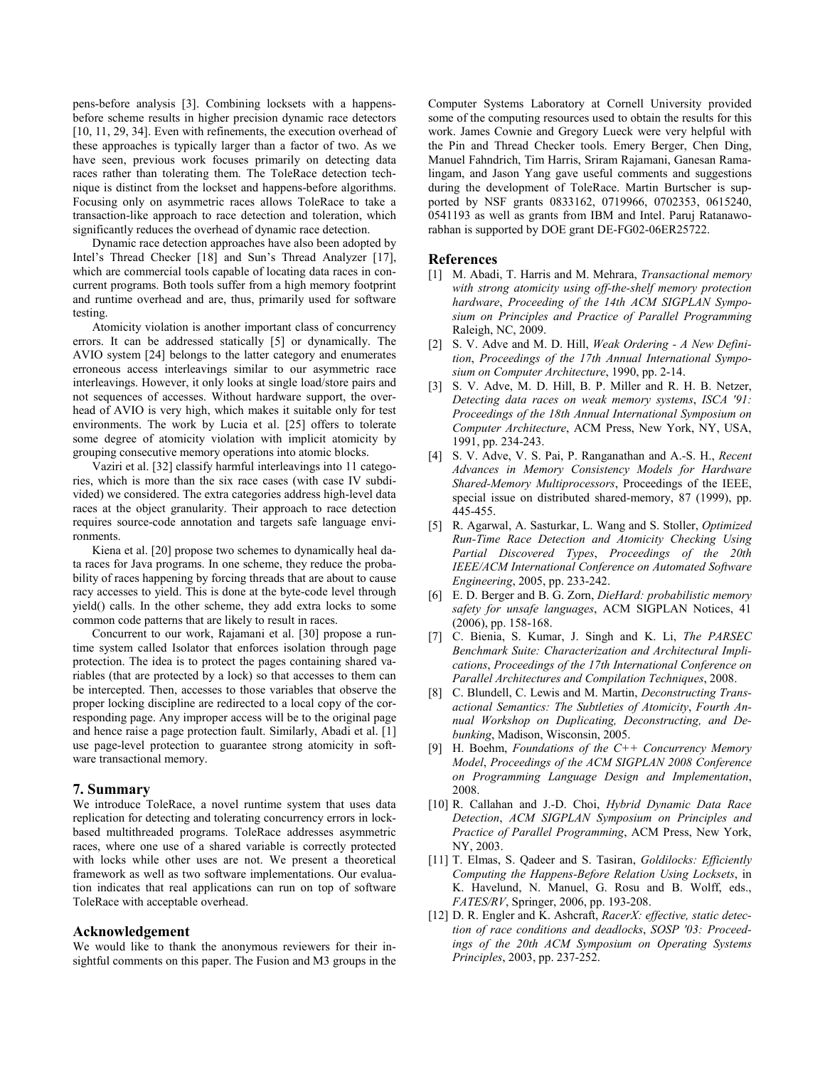pens-before analysis [3]. Combining locksets with a happensbefore scheme results in higher precision dynamic race detectors [10, 11, 29, 34]. Even with refinements, the execution overhead of these approaches is typically larger than a factor of two. As we have seen, previous work focuses primarily on detecting data races rather than tolerating them. The ToleRace detection technique is distinct from the lockset and happens-before algorithms. Focusing only on asymmetric races allows ToleRace to take a transaction-like approach to race detection and toleration, which significantly reduces the overhead of dynamic race detection.

Dynamic race detection approaches have also been adopted by Intel's Thread Checker [18] and Sun's Thread Analyzer [17], which are commercial tools capable of locating data races in concurrent programs. Both tools suffer from a high memory footprint and runtime overhead and are, thus, primarily used for software testing.

Atomicity violation is another important class of concurrency errors. It can be addressed statically [5] or dynamically. The AVIO system [24] belongs to the latter category and enumerates erroneous access interleavings similar to our asymmetric race interleavings. However, it only looks at single load/store pairs and not sequences of accesses. Without hardware support, the overhead of AVIO is very high, which makes it suitable only for test environments. The work by Lucia et al. [25] offers to tolerate some degree of atomicity violation with implicit atomicity by grouping consecutive memory operations into atomic blocks.

Vaziri et al. [32] classify harmful interleavings into 11 categories, which is more than the six race cases (with case IV subdivided) we considered. The extra categories address high-level data races at the object granularity. Their approach to race detection requires source-code annotation and targets safe language environments.

Kiena et al. [20] propose two schemes to dynamically heal data races for Java programs. In one scheme, they reduce the probability of races happening by forcing threads that are about to cause racy accesses to yield. This is done at the byte-code level through yield() calls. In the other scheme, they add extra locks to some common code patterns that are likely to result in races.

Concurrent to our work, Rajamani et al. [30] propose a runtime system called Isolator that enforces isolation through page protection. The idea is to protect the pages containing shared variables (that are protected by a lock) so that accesses to them can be intercepted. Then, accesses to those variables that observe the proper locking discipline are redirected to a local copy of the corresponding page. Any improper access will be to the original page and hence raise a page protection fault. Similarly, Abadi et al. [1] use page-level protection to guarantee strong atomicity in software transactional memory.

# **7. Summary**

We introduce ToleRace, a novel runtime system that uses data replication for detecting and tolerating concurrency errors in lockbased multithreaded programs. ToleRace addresses asymmetric races, where one use of a shared variable is correctly protected with locks while other uses are not. We present a theoretical framework as well as two software implementations. Our evaluation indicates that real applications can run on top of software ToleRace with acceptable overhead.

### **Acknowledgement**

We would like to thank the anonymous reviewers for their insightful comments on this paper. The Fusion and M3 groups in the Computer Systems Laboratory at Cornell University provided some of the computing resources used to obtain the results for this work. James Cownie and Gregory Lueck were very helpful with the Pin and Thread Checker tools. Emery Berger, Chen Ding, Manuel Fahndrich, Tim Harris, Sriram Rajamani, Ganesan Ramalingam, and Jason Yang gave useful comments and suggestions during the development of ToleRace. Martin Burtscher is supported by NSF grants 0833162, 0719966, 0702353, 0615240, 0541193 as well as grants from IBM and Intel. Paruj Ratanaworabhan is supported by DOE grant DE-FG02-06ER25722.

# **References**

- [1] M. Abadi, T. Harris and M. Mehrara, *Transactional memory with strong atomicity using off-the-shelf memory protection hardware*, *Proceeding of the 14th ACM SIGPLAN Symposium on Principles and Practice of Parallel Programming*  Raleigh, NC, 2009.
- [2] S. V. Adve and M. D. Hill, *Weak Ordering A New Definition*, *Proceedings of the 17th Annual International Symposium on Computer Architecture*, 1990, pp. 2-14.
- [3] S. V. Adve, M. D. Hill, B. P. Miller and R. H. B. Netzer, *Detecting data races on weak memory systems*, *ISCA '91: Proceedings of the 18th Annual International Symposium on Computer Architecture*, ACM Press, New York, NY, USA, 1991, pp. 234-243.
- [4] S. V. Adve, V. S. Pai, P. Ranganathan and A.-S. H., *Recent Advances in Memory Consistency Models for Hardware Shared-Memory Multiprocessors*, Proceedings of the IEEE, special issue on distributed shared-memory, 87 (1999), pp. 445-455.
- [5] R. Agarwal, A. Sasturkar, L. Wang and S. Stoller, *Optimized Run-Time Race Detection and Atomicity Checking Using Partial Discovered Types*, *Proceedings of the 20th IEEE/ACM International Conference on Automated Software Engineering*, 2005, pp. 233-242.
- [6] E. D. Berger and B. G. Zorn, *DieHard: probabilistic memory safety for unsafe languages*, ACM SIGPLAN Notices, 41 (2006), pp. 158-168.
- [7] C. Bienia, S. Kumar, J. Singh and K. Li, *The PARSEC Benchmark Suite: Characterization and Architectural Implications*, *Proceedings of the 17th International Conference on Parallel Architectures and Compilation Techniques*, 2008.
- [8] C. Blundell, C. Lewis and M. Martin, *Deconstructing Transactional Semantics: The Subtleties of Atomicity*, *Fourth Annual Workshop on Duplicating, Deconstructing, and Debunking*, Madison, Wisconsin, 2005.
- [9] H. Boehm, *Foundations of the C++ Concurrency Memory Model*, *Proceedings of the ACM SIGPLAN 2008 Conference on Programming Language Design and Implementation*, 2008.
- [10] R. Callahan and J.-D. Choi, *Hybrid Dynamic Data Race Detection*, *ACM SIGPLAN Symposium on Principles and Practice of Parallel Programming*, ACM Press, New York, NY, 2003.
- [11] T. Elmas, S. Qadeer and S. Tasiran, *Goldilocks: Efficiently Computing the Happens-Before Relation Using Locksets*, in K. Havelund, N. Manuel, G. Rosu and B. Wolff, eds., *FATES/RV*, Springer, 2006, pp. 193-208.
- [12] D. R. Engler and K. Ashcraft, *RacerX: effective, static detection of race conditions and deadlocks*, *SOSP '03: Proceedings of the 20th ACM Symposium on Operating Systems Principles*, 2003, pp. 237-252.